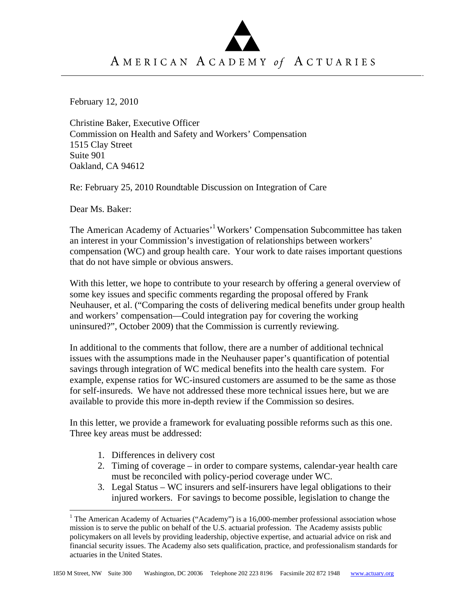# AMERICAN ACADEMY of ACTUARIES

February 12, 2010

Christine Baker, Executive Officer Commission on Health and Safety and Workers' Compensation 1515 Clay Street Suite 901 Oakland, CA 94612

Re: February 25, 2010 Roundtable Discussion on Integration of Care

Dear Ms. Baker:

 $\overline{a}$ 

The American Academy of Actuaries<sup>, 1</sup> Workers' Compensation Subcommittee has taken an interest in your Commission's investigation of relationships between workers' compensation (WC) and group health care. Your work to date raises important questions that do not have simple or obvious answers.

With this letter, we hope to contribute to your research by offering a general overview of some key issues and specific comments regarding the proposal offered by Frank Neuhauser, et al. ("Comparing the costs of delivering medical benefits under group health and workers' compensation—Could integration pay for covering the working uninsured?", October 2009) that the Commission is currently reviewing.

In additional to the comments that follow, there are a number of additional technical issues with the assumptions made in the Neuhauser paper's quantification of potential savings through integration of WC medical benefits into the health care system. For example, expense ratios for WC-insured customers are assumed to be the same as those for self-insureds. We have not addressed these more technical issues here, but we are available to provide this more in-depth review if the Commission so desires.

In this letter, we provide a framework for evaluating possible reforms such as this one. Three key areas must be addressed:

- 1. Differences in delivery cost
- 2. Timing of coverage in order to compare systems, calendar-year health care must be reconciled with policy-period coverage under WC.
- 3. Legal Status WC insurers and self-insurers have legal obligations to their injured workers. For savings to become possible, legislation to change the

<sup>&</sup>lt;sup>1</sup> The American Academy of Actuaries ("Academy") is a 16,000-member professional association whose mission is to serve the public on behalf of the U.S. actuarial profession. The Academy assists public policymakers on all levels by providing leadership, objective expertise, and actuarial advice on risk and financial security issues. The Academy also sets qualification, practice, and professionalism standards for actuaries in the United States.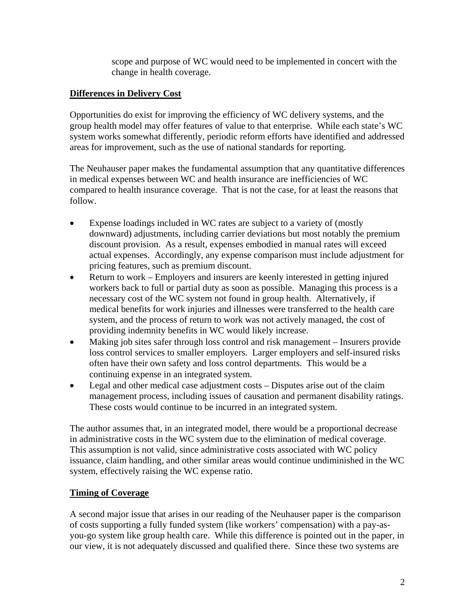scope and purpose of WC would need to be implemented in concert with the change in health coverage.

# **Differences in Delivery Cost**

Opportunities do exist for improving the efficiency of WC delivery systems, and the group health model may offer features of value to that enterprise. While each state's WC system works somewhat differently, periodic reform efforts have identified and addressed areas for improvement, such as the use of national standards for reporting.

The Neuhauser paper makes the fundamental assumption that any quantitative differences in medical expenses between WC and health insurance are inefficiencies of WC compared to health insurance coverage. That is not the case, for at least the reasons that follow.

- Expense loadings included in WC rates are subject to a variety of (mostly downward) adjustments, including carrier deviations but most notably the premium discount provision. As a result, expenses embodied in manual rates will exceed actual expenses. Accordingly, any expense comparison must include adjustment for pricing features, such as premium discount.
- Return to work Employers and insurers are keenly interested in getting injured workers back to full or partial duty as soon as possible. Managing this process is a necessary cost of the WC system not found in group health. Alternatively, if medical benefits for work injuries and illnesses were transferred to the health care system, and the process of return to work was not actively managed, the cost of providing indemnity benefits in WC would likely increase.
- Making job sites safer through loss control and risk management Insurers provide loss control services to smaller employers. Larger employers and self-insured risks often have their own safety and loss control departments. This would be a continuing expense in an integrated system.
- Legal and other medical case adjustment costs Disputes arise out of the claim management process, including issues of causation and permanent disability ratings. These costs would continue to be incurred in an integrated system.

The author assumes that, in an integrated model, there would be a proportional decrease in administrative costs in the WC system due to the elimination of medical coverage. This assumption is not valid, since administrative costs associated with WC policy issuance, claim handling, and other similar areas would continue undiminished in the WC system, effectively raising the WC expense ratio.

## **Timing of Coverage**

A second major issue that arises in our reading of the Neuhauser paper is the comparison of costs supporting a fully funded system (like workers' compensation) with a pay-asyou-go system like group health care. While this difference is pointed out in the paper, in our view, it is not adequately discussed and qualified there. Since these two systems are